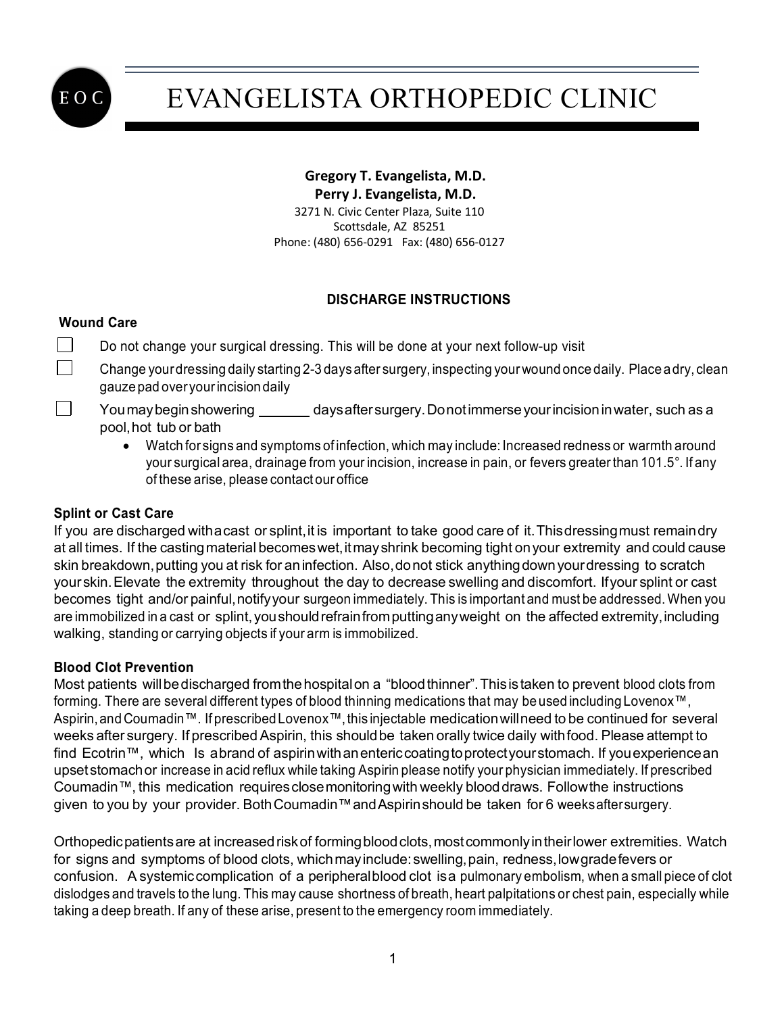

# EVANGELISTA ORTHOPEDIC CLINIC

### **Gregory T. Evangelista, M.D.**

 **Perry J. Evangelista, M.D.** 3271 N. Civic Center Plaza, Suite 110 Scottsdale, AZ 85251 Phone: (480) 656-0291 Fax: (480) 656-0127

### **DISCHARGE INSTRUCTIONS**

### **Wound Care**

 $\perp$  $\vert$   $\vert$  Do not change your surgical dressing. This will be done at your next follow-up visit

Change yourdressing daily starting 2-3 days after surgery, inspecting yourwound once daily. Placeadry, clean gauze pad over your incision daily

- You may begin showering \_\_\_\_\_\_\_ days after surgery. Donot immerse your incision in water, such as a pool,hot tub or bath
	- Watch for signs and symptoms of infection, which may include: Increased redness or warmth around your surgical area, drainage from your incision, increase in pain, or fevers greater than 101.5°. If any of these arise, please contact our office

### **Splint or Cast Care**

If you are discharged withacast or splint, it is important to take good care of it. Thisdressing must remaindry at all times. If the casting material becomes wet, it may shrink becoming tight on your extremity and could cause skin breakdown,putting you at risk for aninfection. Also,donot stick anythingdownyourdressing to scratch yourskin.Elevate the extremity throughout the day to decrease swelling and discomfort. Ifyour splint or cast becomes tight and/or painful,notifyyour surgeon immediately. This is important and must be addressed. When you are immobilized in a cast or splint, you should refrain from putting any weight on the affected extremity, including walking, standing or carrying objects if your arm is immobilized.

### **Blood Clot Prevention**

Most patients willbedischarged fromthehospitalon a "bloodthinner".Thisis taken to prevent blood clots from forming. There are several different types of blood thinning medications that may beused including Lovenox™, Aspirin,and Coumadin™. If prescribedLovenox™,this injectable medicationwillneed to be continued for several weeks after surgery. If prescribed Aspirin, this should be taken orally twice daily with food. Please attempt to find Ecotrin™, which Is abrand of aspirinwithanentericcoatingtoprotectyourstomach. If youexperiencean upsetstomachor increase in acid reflux while taking Aspirin please notify your physician immediately. If prescribed Coumadin™, this medication requiresclosemonitoringwith weekly blooddraws. Followthe instructions given to you by your provider. Both Coumadin™ and Aspirin should be taken for 6 weeksaftersurgery.

Orthopedicpatientsare at increasedriskof formingbloodclots,mostcommonlyintheirlower extremities. Watch for signs and symptoms of blood clots, which may include: swelling, pain, redness, low gradefevers or confusion. A systemiccomplication of a peripheralblood clot isa pulmonary embolism, when a small piece of clot dislodges and travels to the lung. This may cause shortness of breath, heart palpitations or chest pain, especially while taking a deep breath. If any of these arise, present to the emergency room immediately.